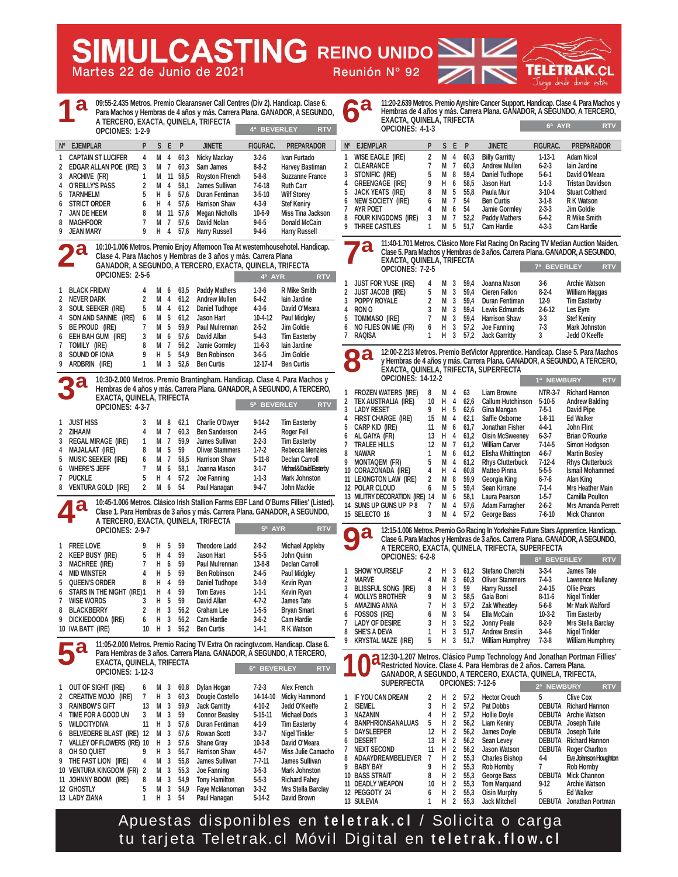| <b>SIMULCASTING REINO UNIDO SIZE</b><br>Martes 22 de Junio de 2021                                                                                                                                                                                                                                                                                                                                                                                                                                                                                                                                                                                                                                                                                                                                                                                                                                                                                                                                                                                                                                                                                                                                                                                                                                                                                                                                                                                                     | <b>TELÈTRAK.CL</b><br>Reunión Nº 92<br>ZN<br>Juega desde donde estés                                                                                                                                                                                                                                                                                                                                                                                                                                                                                                                                                                                                                                                                                                                                                                                                                                                                                                                                                                                                                                                                                                                                                                                                                                                                                                                                                                                                                                          |
|------------------------------------------------------------------------------------------------------------------------------------------------------------------------------------------------------------------------------------------------------------------------------------------------------------------------------------------------------------------------------------------------------------------------------------------------------------------------------------------------------------------------------------------------------------------------------------------------------------------------------------------------------------------------------------------------------------------------------------------------------------------------------------------------------------------------------------------------------------------------------------------------------------------------------------------------------------------------------------------------------------------------------------------------------------------------------------------------------------------------------------------------------------------------------------------------------------------------------------------------------------------------------------------------------------------------------------------------------------------------------------------------------------------------------------------------------------------------|---------------------------------------------------------------------------------------------------------------------------------------------------------------------------------------------------------------------------------------------------------------------------------------------------------------------------------------------------------------------------------------------------------------------------------------------------------------------------------------------------------------------------------------------------------------------------------------------------------------------------------------------------------------------------------------------------------------------------------------------------------------------------------------------------------------------------------------------------------------------------------------------------------------------------------------------------------------------------------------------------------------------------------------------------------------------------------------------------------------------------------------------------------------------------------------------------------------------------------------------------------------------------------------------------------------------------------------------------------------------------------------------------------------------------------------------------------------------------------------------------------------|
| 09:55-2.435 Metros. Premio Clearanswer Call Centres (Div 2). Handicap. Clase 6.<br>a<br>Para Machos y Hembras de 4 años y más. Carrera Plana. GANADOR, A SEGUNDO,<br>A TERCERO, EXACTA, QUINELA, TRIFECTA<br>4ª BEVERLEY<br>OPCIONES: 1-2-9                                                                                                                                                                                                                                                                                                                                                                                                                                                                                                                                                                                                                                                                                                                                                                                                                                                                                                                                                                                                                                                                                                                                                                                                                            | 11:20-2.639 Metros. Premio Ayrshire Cancer Support. Handicap. Clase 4. Para Machos y<br>6а<br>Hembras de 4 años y más. Carrera Plana. GÁNADOR, A SÉGUNDO, A TERCERO,<br>EXACTA, QUINELA, TRIFECTA<br>6ª AYR<br><b>RTV</b><br>OPCIONES: 4-1-3<br><b>RTV</b>                                                                                                                                                                                                                                                                                                                                                                                                                                                                                                                                                                                                                                                                                                                                                                                                                                                                                                                                                                                                                                                                                                                                                                                                                                                    |
| S E P<br>FIGURAC.<br><b>PREPARADOR</b><br>Nº EJEMPLAR<br>P<br><b>JINETE</b><br><b>CAPTAIN ST LUCIFER</b><br>60,3<br>$3-2-6$<br>Ivan Furtado<br>4<br>M 4<br>Nicky Mackay<br>1<br>EDGAR ALLAN POE (IRE) 3<br>60,3<br>Sam James<br>$8 - 8 - 2$<br>Harvey Bastiman<br>2<br>M 7<br><b>Suzzanne France</b><br>ARCHIVE (FR)<br>M 11 58,5<br><b>Royston Ffrench</b><br>$5 - 8 - 8$<br>3<br>1<br><b>O'REILLY'S PASS</b><br>M<br>58,1<br>James Sullivan<br>$7-6-18$<br><b>Ruth Carr</b><br>$\overline{4}$<br>4<br><b>TARNHELM</b><br>H 6<br>57.6<br>Duran Fentiman<br>$3 - 5 - 10$<br><b>Wilf Storey</b><br>5<br><b>STRICT ORDER</b><br>$H$ 4<br>57,6<br><b>Harrison Shaw</b><br>$4-3-9$<br><b>Stef Keniry</b><br>6<br>6<br>JAN DE HEEM<br>M 11 57,6<br><b>Megan Nicholls</b><br>$10-6-9$<br>Miss Tina Jackson<br>8<br>7<br><b>MAGHFOOR</b><br>$9 - 6 - 5$<br><b>Donald McCain</b><br>7<br>M 7<br>57,6<br>David Nolan<br>8<br>9 JEAN MARY<br>9<br>$H$ 4<br>57,6<br><b>Harry Russell</b><br>$9 - 4 - 6$<br><b>Harry Russell</b>                                                                                                                                                                                                                                                                                                                                                                                                                                                   | Nº EJEMPLAR<br>S E P<br><b>JINETE</b><br>FIGURAC.<br><b>PREPARADOR</b><br>P<br>60,3<br><b>WISE EAGLE (IRE)</b><br>2<br>М<br><b>Billy Garritty</b><br>$1 - 13 - 1$<br><b>Adam Nicol</b><br>1<br>$\overline{4}$<br>7<br>$6 - 2 - 3$<br><b>CLEARANCE</b><br>М<br>$\overline{1}$<br>60,3<br><b>Andrew Mullen</b><br>lain Jardine<br>2<br>David O'Meara<br>STONIFIC (IRE)<br>5<br>М<br>8<br>59,4<br>Daniel Tudhope<br>$5-6-1$<br>3<br>9<br><b>Tristan Davidson</b><br>GREENGAGE (IRE)<br>н<br>6<br>58,5<br>Jason Hart<br>$1-1-3$<br>4<br>8<br>М<br>5<br>55.8<br>Paula Muir<br>$3-10-4$<br><b>Stuart Coltherd</b><br>JACK YEATS (IRE)<br>5<br>NEW SOCIETY (IRE)<br>М<br>54<br>R K Watson<br>6<br>$\overline{7}$<br><b>Ben Curtis</b><br>$3-1-8$<br>6<br>7<br><b>AYR POET</b><br>4<br>M<br>6<br>54<br>Jamie Gormley<br>$2 - 3 - 3$<br>Jim Goldie<br>FOUR KINGDOMS (IRE)<br><b>Paddy Mathers</b><br>$6 - 4 - 2$<br>8<br>3<br>M<br>7<br>52,2<br><b>R</b> Mike Smith<br><b>THREE CASTLES</b><br>Cam Hardie<br>$4 - 3 - 3$<br><b>Cam Hardie</b><br>9<br>M<br>5 51.7<br>1                                                                                                                                                                                                                                                                                                                                                                                                                                                 |
| 10:10-1.006 Metros. Premio Enjoy Afternoon Tea At westernhousehotel. Handicap.<br>2 <sup>a</sup><br>Clase 4. Para Machos y Hembras de 3 años y más. Carrera Plana<br>GANADOR, A SEGUNDO, A TERCERO, EXACTA, QUINELA, TRIFECTA<br>OPCIONES: 2-5-6<br>$4^a$ AYR                                                                                                                                                                                                                                                                                                                                                                                                                                                                                                                                                                                                                                                                                                                                                                                                                                                                                                                                                                                                                                                                                                                                                                                                          | 11:40-1.701 Metros. Clásico More Flat Racing On Racing TV Median Auction Maiden.<br>$\bullet$<br>Clase 5. Para Machos y Hembras de 3 años. Carrera Plana. GANADOR, A SEGUNDO,<br>EXACTA, QUINELA, TRIFECTA<br>7ª BEVERLEY<br><b>RTV</b><br>OPCIONES: 7-2-5<br><b>RTV</b>                                                                                                                                                                                                                                                                                                                                                                                                                                                                                                                                                                                                                                                                                                                                                                                                                                                                                                                                                                                                                                                                                                                                                                                                                                      |
| <b>BLACK FRIDAY</b><br>$1-3-6$<br><b>R Mike Smith</b><br>M 6 63,5<br><b>Paddy Mathers</b><br>4<br>1<br>2 NEVER DARK<br>M 4<br><b>Andrew Mullen</b><br>$6 - 4 - 2$<br>2<br>61,2<br>lain Jardine<br>5<br>M<br>Daniel Tudhope<br>$4 - 3 - 6$<br>3<br>Soul Seeker (IRE)<br>4<br>61,2<br>David O'Meara<br>SON AND SANNIE (IRE)<br>5<br>61,2<br>Jason Hart<br><b>Paul Midgley</b><br>M<br>10-4-12<br>4<br>6<br>M <sub>5</sub><br>59,9<br>Be proud (IRE)<br>Paul Mulrennan<br>$2 - 5 - 2$<br>Jim Goldie<br>5<br>EEH BAH GUM (IRE)<br>3<br>$5-4-3$<br><b>Tim Easterby</b><br>M<br>6<br>57,6<br>David Allan<br>6<br>TOMILY (IRE)<br>8<br>M 7<br>56,2<br>$11-6-3$<br>Jamie Gormley<br>lain Jardine<br>7                                                                                                                                                                                                                                                                                                                                                                                                                                                                                                                                                                                                                                                                                                                                                                          | <b>JUST FOR YUSE (IRE)</b><br><b>Archie Watson</b><br>59.4<br>Joanna Mason<br>$3-6$<br>4<br>M<br>3<br>1<br>5<br>М<br>3<br>59.4<br>$\overline{2}$<br>JUST JACOB (IRE)<br><b>Cieren Fallon</b><br>$8-2-4$<br><b>William Haggas</b><br>3<br>POPPY ROYALE<br>$\overline{2}$<br>M<br>3<br>59.4<br>Duran Fentiman<br>$12-9$<br><b>Tim Easterby</b><br>RON O<br>3<br>M<br>3<br>59.4<br>Lewis Edmunds<br>$2 - 6 - 12$<br>Les Eyre<br>4<br>TOMMASO (IRE)<br>7<br>M<br>3<br>59.4<br><b>Harrison Shaw</b><br>$3-3$<br><b>Stef Keniry</b><br>5<br>NO FLIES ON ME (FR)<br>Joe Fanning<br>$7-3$<br><b>Mark Johnston</b><br>H<br>3<br>57,2<br>6<br>6<br>H<br><b>RAQISA</b><br>1<br>3<br>57,2<br><b>Jack Garritty</b><br>3<br>Jedd O'Keeffe<br>7                                                                                                                                                                                                                                                                                                                                                                                                                                                                                                                                                                                                                                                                                                                                                                              |
| SOUND OF IONA<br>9<br>н<br>5<br>54.9<br><b>Ben Robinson</b><br>$3-6-5$<br>Jim Goldie<br>8<br>ARDBRIN (IRE)<br>M <sub>3</sub><br><b>Ben Curtis</b><br>$12 - 17 - 4$<br><b>Ben Curtis</b><br>9<br>1<br>52,6<br>10:30-2.000 Metros. Premio Brantingham. Handicap. Clase 4. Para Machos y<br>29<br>Hembras de 4 años y más. Carrera Plana. GANADOR, A SEGUNDO, A TERCERO,                                                                                                                                                                                                                                                                                                                                                                                                                                                                                                                                                                                                                                                                                                                                                                                                                                                                                                                                                                                                                                                                                                  | 12:00-2.213 Metros. Premio BetVictor Apprentice. Handicap. Clase 5. Para Machos<br>a<br>O<br>y Hembras de 4 años y más. Carrera Plana. GANADOR, A SEGUNDO, A TERCERO,<br>ÉXACTA, QUINELA, TRIFECTA, SUPERFECTA<br><b>OPCIONES: 14-12-2</b><br>1ª NEWBURY<br><b>RTV</b>                                                                                                                                                                                                                                                                                                                                                                                                                                                                                                                                                                                                                                                                                                                                                                                                                                                                                                                                                                                                                                                                                                                                                                                                                                        |
| EXACTA, QUINELA, TRIFECTA<br>5ª BEVERLEY<br>OPCIONES: 4-3-7<br>1 JUST HISS<br>3<br>M 8<br>62,1<br>Charlie O'Dwyer<br>$9-14-2$<br><b>Tim Easterby</b><br>2 ZIHAAM<br>M 7<br><b>Ben Sanderson</b><br>$2 - 4 - 5$<br>Roger Fell<br>60,3<br>3 REGAL MIRAGE (IRE)<br>M<br>$\overline{7}$<br>59.9<br>James Sullivan<br>$2 - 2 - 3$<br><b>Tim Easterby</b><br>$\mathbf{1}$<br><b>MAJALAAT (IRE)</b><br>-5<br>59<br><b>Oliver Stammers</b><br>Rebecca Menzies<br>8<br>M<br>$1 - 7 - 2$<br>4<br>MUSIC SEEKER (IRE)<br>58.5<br><b>Harrison Shaw</b><br>$5 - 11 - 8$<br><b>Declan Carroll</b><br>5<br>M 7<br>6<br><b>WHERE'S JEFF</b><br>$\overline{1}$<br>58,1<br>Joanna Mason<br>$3-1-7$<br>Michael&DavidEasterby<br>M<br>6<br>6<br><b>PUCKLE</b><br>5<br>$H$ 4<br>57,2<br><b>Mark Johnston</b><br>Joe Fanning<br>$1 - 1 - 3$<br>7<br>8 VENTURA GOLD (IRE)<br>$\overline{2}$<br>M 6 54<br>Paul Hanagan<br>$9 - 4 - 7$<br>John Mackie                                                                                                                                                                                                                                                                                                                                                                                                                                                                                                                                            | <b>FROZEN WATERS (IRE)</b><br><b>Richard Hannon</b><br>1<br>8<br>M 4<br>63<br>Liam Browne<br>NTR-3-7<br>TEX AUSTRALIA (IRE)<br>10<br>62.6<br>Callum Hutchinson 5-10-5<br><b>Andrew Balding</b><br>$\overline{2}$<br>Н<br>4<br><b>RTV</b><br><b>LADY RESET</b><br>Gina Mangan<br>David Pipe<br>3<br>9<br>H 5<br>62,6<br>$7-5-1$<br>15<br>M<br>62,1<br>Saffie Osborne<br>$1 - 8 - 11$<br>FIRST CHARGE (IRE)<br>4<br><b>Ed Walker</b><br>CARP KID (IRE)<br>11<br>Jonathan Fisher<br>M<br>6<br>61.7<br>$4 - 4 - 1$<br><b>John Flint</b><br>5<br>13<br><b>Oisin McSweeney</b><br>$6 - 3 - 7$<br><b>Brian O'Rourke</b><br>AL GAIYA (FR)<br>$H$ 4<br>61,2<br>6<br>12<br>M<br>61,2<br>$7 - 14 - 5$<br><b>TRALEE HILLS</b><br>$\overline{1}$<br><b>William Carver</b><br><b>Simon Hodgson</b><br>7<br><b>NAWAR</b><br>Elisha Whittington<br>8<br>М<br>6<br>61,2<br>$4 - 6 - 7$<br><b>Martin Bosley</b><br>1<br>9<br>MONTAQEM (FR)<br>5<br>М<br>4<br>61,2<br><b>Rhys Clutterbuck</b><br>$7-12-4$<br><b>Rhys Clutterbuck</b><br>10 CORAZONADA (IRE)<br><b>Matteo Pinna</b><br>$5-5-5$<br><b>Ismail Mohammed</b><br>4<br>н<br>4<br>60,8<br>11 LEXINGTON LAW (IRE)<br>$\overline{2}$<br>8<br>59,9<br>Georgia King<br>Alan King<br>М<br>$6 - 7 - 6$<br>5<br>59.4<br>12 POLAR CLOUD<br>M<br>Sean Kirrane<br>$7 - 1 - 4$<br>Mrs Heather Main<br>6<br>Laura Pearson<br>13 MILITRY DECORATION (IRE) 14<br>M<br>6<br>58,1<br>$1-5-7$<br>Camilla Poulton                                                                          |
| 10:45-1.006 Metros. Clásico Irish Stallion Farms EBF Land O'Burns Fillies' (Listed).<br>Clase 1. Para Hembras de 3 años y más. Carrera Plana. GANADOR, A SEGUNDO.<br>A TERCERO, EXACTA, QUINELA, TRIFECTA<br>5ª AYR RTV<br>OPCIONES: 2-9-1                                                                                                                                                                                                                                                                                                                                                                                                                                                                                                                                                                                                                                                                                                                                                                                                                                                                                                                                                                                                                                                                                                                                                                                                                             | 14 SUNS UP GUNS UP P8<br>7<br>М<br>4<br>57,6<br><b>Adam Farragher</b><br>$2 - 6 - 2$<br><b>Mrs Amanda Perrett</b><br>15 SELECTO 16<br>3<br>M <sub>4</sub><br>57,2<br>George Bass<br>$7 - 6 - 10$<br><b>Mick Channon</b><br>12:15-1.006 Metros. Premio Go Racing In Yorkshire Future Stars Apprentice. Handicap.                                                                                                                                                                                                                                                                                                                                                                                                                                                                                                                                                                                                                                                                                                                                                                                                                                                                                                                                                                                                                                                                                                                                                                                               |
| 1 FREE LOVE<br>$2 - 9 - 2$<br><b>Michael Appleby</b><br>-5<br>59<br><b>Theodore Ladd</b><br>9<br>н<br>Н<br>$5 - 5 - 5$<br>2<br>Keep Busy (IRE)<br>5<br>4<br>59<br>Jason Hart<br>John Quinn<br>Н<br>6<br><b>Declan Carroll</b><br><b>MACHREE (IRE)</b><br>59<br><b>Paul Mulrennan</b><br>$13 - 8 - 8$<br>3<br>5<br><b>MID WINSTER</b><br>Н<br>59<br>$2 - 4 - 5$<br><b>Ben Robinson</b><br><b>Paul Midgley</b><br>4<br>4<br>8<br>Н<br>4<br><b>QUEEN'S ORDER</b><br>59<br>Daniel Tudhope<br>$3-1-9$<br>Kevin Ryan<br>5<br>Н<br>4<br>59<br>STARS IN THE NIGHT (IRE) 1<br><b>Tom Eaves</b><br>$1 - 1 - 1$<br>Kevin Ryan<br>6<br>Н<br>5<br>59<br><b>WISE WORDS</b><br>3<br>David Allan<br>$4 - 7 - 2$<br>James Tate<br>7<br>Н<br><b>BLACKBERRY</b><br>$\overline{2}$<br>3<br>56,2<br>8<br><b>Graham Lee</b><br>$1-5-5$<br><b>Bryan Smart</b><br>Н<br>3<br>DICKIEDOODA (IRE)<br>6<br>56,2<br><b>Cam Hardie</b><br>$3-6-2$<br>Cam Hardie<br>9<br>10 IVA BATT (IRE)<br>Н<br>$\overline{3}$<br><b>Ben Curtis</b><br><b>RK Watson</b><br>10<br>56,2<br>$1 - 4 - 1$                                                                                                                                                                                                                                                                                                                                                                                                                | <b>Da</b><br>Clase 6. Para Machos y Hembras de 3 años. Carrera Plana. GANADOR, A SEGUNDO,<br>A TERCERO, EXACTA, QUINELA, TRIFECTA, SUPERFECTA<br>OPCIONES: 6-2-8<br>8ª BEVERLEY<br><b>RTV</b><br><b>SHOW YOURSELF</b><br>$3-3-4$<br>2<br>H<br>61,2<br>Stefano Cherchi<br>James Tate<br>1<br>3<br>3<br>$\overline{2}$<br>Marve<br>4<br>М<br>60,3<br><b>Oliver Stammers</b><br>$7-4-3$<br><b>Lawrence Mullaney</b><br>8<br>н<br><b>Ollie Pears</b><br><b>BLISSFUL SONG (IRE)</b><br>3<br>59<br><b>Harry Russell</b><br>$2 - 4 - 15$<br>3<br>3<br><b>Nigel Tinkler</b><br><b>MOLLYS BROTHER</b><br>9<br>M<br>58,5<br>Gaia Boni<br>$8-11-6$<br>$\overline{4}$<br>7<br>H.<br>57,2<br><b>Zak Wheatley</b><br>$5-6-8$<br>Mr Mark Walford<br>AMAZING ANNA<br>3<br>5<br>М<br>3<br>FOSSOS (IRE)<br>6<br>54<br>Ella McCain<br>$10-3-2$<br><b>Tim Easterby</b><br>6<br><b>LADY OF DESIRE</b><br>3<br>52,2<br>Jonny Peate<br>3<br>н<br>$8-2-9$<br>Mrs Stella Barclay<br>7<br>н<br>3<br>51,7<br><b>Andrew Breslin</b><br><b>Nigel Tinkler</b><br>8<br><b>SHE'S A DEVA</b><br>1<br>$3-4-6$<br><b>KRYSTAL MAZE (IRE)</b><br>5<br>н<br>3<br><b>William Humphrey</b><br>$7 - 3 - 8$<br>9                                                                                                                                                                                                                                                                                                                                        |
| 11:05-2.000 Metros. Premio Racing TV Extra On racingty.com. Handicap. Clase 6.<br>Para Hembras de 3 años. Carrera Plana. GANADOR, A SEGUNDO, A TERCERO,<br>EXACTA, QUINELA, TRIFECTA<br>6ª BEVERLEY<br>OPCIONES: 1-12-3                                                                                                                                                                                                                                                                                                                                                                                                                                                                                                                                                                                                                                                                                                                                                                                                                                                                                                                                                                                                                                                                                                                                                                                                                                                | 51,7<br>William Humphrey<br>12:30-1.207 Metros. Clásico Pump Technology And Jonathan Portman Fillies'<br>Restricted Novice. Clase 4. Para Hembras de 2 años. Carrera Plana.<br><b>RTV</b><br>GANADOR, A SEGUNDO, A TERCERO, EXACTA, QUINELA, TRIFECTA,                                                                                                                                                                                                                                                                                                                                                                                                                                                                                                                                                                                                                                                                                                                                                                                                                                                                                                                                                                                                                                                                                                                                                                                                                                                        |
| <b>Alex French</b><br>OUT OF SIGHT (IRE)<br>Dylan Hogan<br>$7-2-3$<br>M<br>3<br>60,8<br>1<br>6<br>н<br>3<br>Dougie Costello<br>2<br><b>CREATIVE MOJO (IRE)</b><br>60,3<br>14-14-10<br>Micky Hammond<br>7<br>13<br>M <sub>3</sub><br>59,9<br><b>Jack Garritty</b><br>$4 - 10 - 2$<br>Jedd O'Keeffe<br><b>RAINBOW'S GIFT</b><br>3<br>TIME FOR A GOOD UN<br>3<br><b>Connor Beasley</b><br>$5 - 15 - 11$<br><b>Michael Dods</b><br>3<br>M<br>59<br>4<br>Н<br>$\overline{\mathbf{3}}$<br><b>WILDCITYDIVA</b><br>11<br>57,6<br>Duran Fentiman<br>4-1-9<br><b>Tim Easterby</b><br>5<br>BELVEDERE BLAST (IRE) 12<br>$\overline{3}$<br>$3-3-7$<br>M<br>57,6<br><b>Rowan Scott</b><br>Nigel Tinkler<br>6<br>VALLEY OF FLOWERS (IRE) 10<br>Н<br>3<br>57,6<br><b>Shane Gray</b><br>$10-3-8$<br>David O'Meara<br>7<br>H <sub>3</sub><br>56,7<br>8<br>oh so quiet<br>9<br><b>Harrison Shaw</b><br>$4 - 5 - 7$<br>Miss Julie Camacho<br>M<br>$\overline{3}$<br>$7 - 7 - 11$<br>9 THE FAST LION (IRE)<br>4<br>55,8<br>James Sullivan<br>James Sullivan<br>M <sub>3</sub><br>$3 - 5 - 3$<br>10 VENTURA KINGDOM (FR) 2<br>55,3<br>Joe Fanning<br><b>Mark Johnston</b><br>M<br>$\overline{3}$<br>54,9<br>$5 - 5 - 3$<br>11 JOHNNY BOOM (IRE)<br>8<br><b>Tony Hamilton</b><br><b>Richard Fahey</b><br>12 GHOSTLY<br>M<br>3<br>54,9<br>Faye McManoman<br>$3-3-2$<br>Mrs Stella Barclay<br>5<br>13 LADY ZIANA<br>H <sub>3</sub><br>Paul Hanagan<br>$5-14-2$<br><b>David Brown</b><br>1<br>54 | <b>SUPERFECTA</b><br><b>OPCIONES: 7-12-6</b><br>2ª NEWBURY<br><b>RTV</b><br>5<br>IF YOU CAN DREAM<br>Н<br>$\overline{2}$<br><b>Clive Cox</b><br>1<br>2<br>57,2<br><b>Hector Crouch</b><br>2 ISEMEL<br>3<br>н<br>$\overline{2}$<br><b>DEBUTA</b> Richard Hannon<br>57,2<br>Pat Dobbs<br>н<br><b>NAZANIN</b><br>4<br>2<br>57,2<br><b>Hollie Doyle</b><br><b>DEBUTA</b> Archie Watson<br>3<br>$\overline{2}$<br><b>BANPHRIONSANALUAS</b><br>5<br>H<br>56,2<br>Liam Keniry<br><b>DEBUTA</b> Joseph Tuite<br>4<br>H <sub>2</sub><br><b>DEBUTA</b> Joseph Tuite<br>DAYSLEEPER<br>12<br>56,2<br>James Doyle<br>5<br>13<br><b>DESERT</b><br>H<br>2<br>56,2<br>Sean Levey<br><b>DEBUTA</b> Richard Hannon<br>6<br>$\overline{2}$<br><b>NEXT SECOND</b><br>11<br>H<br>56,2<br>Jason Watson<br><b>DEBUTA</b> Roger Charlton<br>7<br>H <sub>2</sub><br>8<br>ADAAYDREAMBELIEVER<br>- 7<br>55,3<br><b>Charles Bishop</b><br>$4 - 4$<br>Eve Johnson Houghton<br>9<br>н<br>$\overline{2}$<br>$\overline{7}$<br><b>BABY BAY</b><br>55,3<br><b>Rob Hornby</b><br><b>Rob Hornby</b><br>9<br>н<br>$\overline{2}$<br><b>DEBUTA Mick Channon</b><br>10 BASS STRAIT<br>8<br>55,3<br><b>George Bass</b><br>H<br><b>11 DEADLY WEAPON</b><br>10<br>$\overline{2}$<br>55,3<br><b>Tom Marquand</b><br>$9-12$<br><b>Archie Watson</b><br>$\overline{2}$<br><b>Oisin Murphy</b><br>5<br>12 PEGGOTY 24<br>6<br>H<br>55,3<br><b>Ed Walker</b><br>13 SULEVIA<br>H <sub>2</sub><br>55,3<br><b>Jack Mitchell</b><br>DEBUTA Jonathan Portman<br>1 |

Apuestas disponibles en **teletrak.cl** / Solicita o carga tu tarjeta Teletrak.cl Móvil Digital en **teletrak.flow.cl**